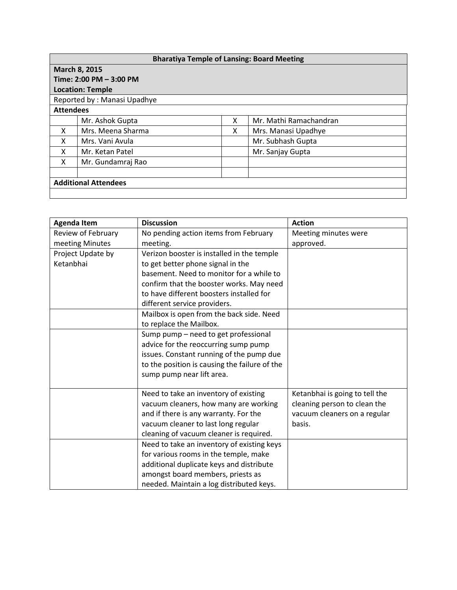| <b>Bharatiya Temple of Lansing: Board Meeting</b> |                   |   |                        |  |  |  |  |
|---------------------------------------------------|-------------------|---|------------------------|--|--|--|--|
| March 8, 2015                                     |                   |   |                        |  |  |  |  |
| Time: 2:00 PM - 3:00 PM                           |                   |   |                        |  |  |  |  |
| <b>Location: Temple</b>                           |                   |   |                        |  |  |  |  |
| Reported by: Manasi Upadhye                       |                   |   |                        |  |  |  |  |
| <b>Attendees</b>                                  |                   |   |                        |  |  |  |  |
|                                                   | Mr. Ashok Gupta   | x | Mr. Mathi Ramachandran |  |  |  |  |
| x                                                 | Mrs. Meena Sharma | X | Mrs. Manasi Upadhye    |  |  |  |  |
| X                                                 | Mrs. Vani Avula   |   | Mr. Subhash Gupta      |  |  |  |  |
| X                                                 | Mr. Ketan Patel   |   | Mr. Sanjay Gupta       |  |  |  |  |
| X                                                 | Mr. Gundamraj Rao |   |                        |  |  |  |  |
|                                                   |                   |   |                        |  |  |  |  |
| <b>Additional Attendees</b>                       |                   |   |                        |  |  |  |  |
|                                                   |                   |   |                        |  |  |  |  |

| <b>Agenda Item</b> | <b>Discussion</b>                             | <b>Action</b>                  |
|--------------------|-----------------------------------------------|--------------------------------|
| Review of February | No pending action items from February         | Meeting minutes were           |
| meeting Minutes    | meeting.                                      | approved.                      |
| Project Update by  | Verizon booster is installed in the temple    |                                |
| Ketanbhai          | to get better phone signal in the             |                                |
|                    | basement. Need to monitor for a while to      |                                |
|                    | confirm that the booster works. May need      |                                |
|                    | to have different boosters installed for      |                                |
|                    | different service providers.                  |                                |
|                    | Mailbox is open from the back side. Need      |                                |
|                    | to replace the Mailbox.                       |                                |
|                    | Sump pump - need to get professional          |                                |
|                    | advice for the reoccurring sump pump          |                                |
|                    | issues. Constant running of the pump due      |                                |
|                    | to the position is causing the failure of the |                                |
|                    | sump pump near lift area.                     |                                |
|                    |                                               |                                |
|                    | Need to take an inventory of existing         | Ketanbhai is going to tell the |
|                    | vacuum cleaners, how many are working         | cleaning person to clean the   |
|                    | and if there is any warranty. For the         | vacuum cleaners on a regular   |
|                    | vacuum cleaner to last long regular           | basis.                         |
|                    | cleaning of vacuum cleaner is required.       |                                |
|                    | Need to take an inventory of existing keys    |                                |
|                    | for various rooms in the temple, make         |                                |
|                    | additional duplicate keys and distribute      |                                |
|                    | amongst board members, priests as             |                                |
|                    | needed. Maintain a log distributed keys.      |                                |